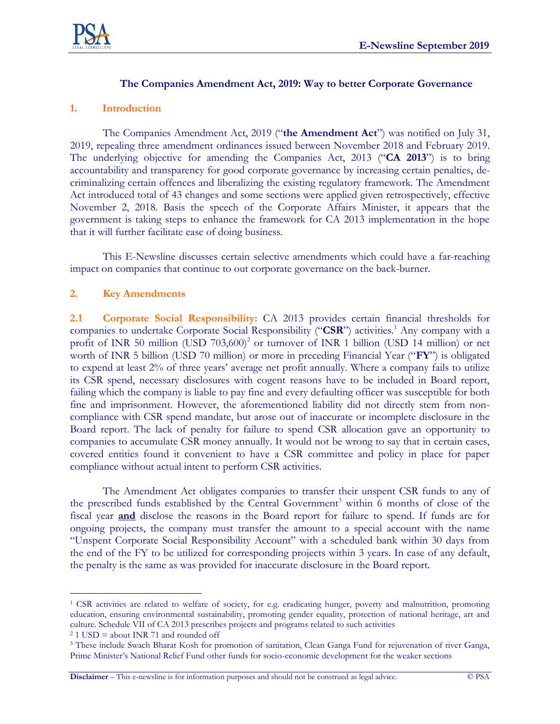

## **The Companies Amendment Act, 2019: Way to better Corporate Governance**

## **1. Introduction**

The Companies Amendment Act, 2019 ("**the Amendment Act**") was notified on July 31, 2019, repealing three amendment ordinances issued between November 2018 and February 2019. The underlying objective for amending the Companies Act, 2013 ("**CA 2013**") is to bring accountability and transparency for good corporate governance by increasing certain penalties, decriminalizing certain offences and liberalizing the existing regulatory framework. The Amendment Act introduced total of 43 changes and some sections were applied given retrospectively, effective November 2, 2018. Basis the speech of the Corporate Affairs Minister, it appears that the government is taking steps to enhance the framework for CA 2013 implementation in the hope that it will further facilitate ease of doing business.

This E-Newsline discusses certain selective amendments which could have a far-reaching impact on companies that continue to out corporate governance on the back-burner.

## **2. Key Amendments**

**2.1 Corporate Social Responsibility:** CA 2013 provides certain financial thresholds for companies to undertake Corporate Social Responsibility ("CSR") activities.<sup>1</sup> Any company with a profit of INR 50 million (USD  $703,600)^2$  or turnover of INR 1 billion (USD 14 million) or net worth of INR 5 billion (USD 70 million) or more in preceding Financial Year ("**FY**") is obligated to expend at least 2% of three years' average net profit annually. Where a company fails to utilize its CSR spend, necessary disclosures with cogent reasons have to be included in Board report, failing which the company is liable to pay fine and every defaulting officer was susceptible for both fine and imprisonment. However, the aforementioned liability did not directly stem from noncompliance with CSR spend mandate, but arose out of inaccurate or incomplete disclosure in the Board report. The lack of penalty for failure to spend CSR allocation gave an opportunity to companies to accumulate CSR money annually. It would not be wrong to say that in certain cases, covered entities found it convenient to have a CSR committee and policy in place for paper compliance without actual intent to perform CSR activities.

The Amendment Act obligates companies to transfer their unspent CSR funds to any of the prescribed funds established by the Central Government<sup>3</sup> within 6 months of close of the fiscal year **and** disclose the reasons in the Board report for failure to spend. If funds are for ongoing projects, the company must transfer the amount to a special account with the name "Unspent Corporate Social Responsibility Account" with a scheduled bank within 30 days from the end of the FY to be utilized for corresponding projects within 3 years. In case of any default, the penalty is the same as was provided for inaccurate disclosure in the Board report.

 $\overline{a}$ 

<sup>1</sup> CSR activities are related to welfare of society, for e.g. eradicating hunger, poverty and malnutrition, promoting education, ensuring environmental sustainability, promoting gender equality, protection of national heritage, art and culture. Schedule VII of CA 2013 prescribes projects and programs related to such activities

<sup>2</sup> 1 USD = about INR 71 and rounded off

<sup>3</sup> These include Swach Bharat Kosh for promotion of sanitation, Clean Ganga Fund for rejuvenation of river Ganga, Prime Minister's National Relief Fund other funds for socio-economic development for the weaker sections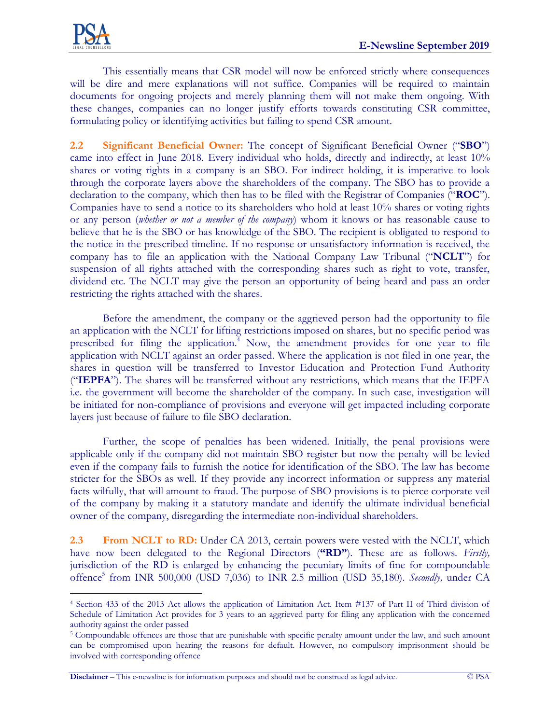$\overline{a}$ 

This essentially means that CSR model will now be enforced strictly where consequences will be dire and mere explanations will not suffice. Companies will be required to maintain documents for ongoing projects and merely planning them will not make them ongoing. With these changes, companies can no longer justify efforts towards constituting CSR committee, formulating policy or identifying activities but failing to spend CSR amount.

**2.2 Significant Beneficial Owner:** The concept of Significant Beneficial Owner ("**SBO**") came into effect in June 2018. Every individual who holds, directly and indirectly, at least 10% shares or voting rights in a company is an SBO. For indirect holding, it is imperative to look through the corporate layers above the shareholders of the company. The SBO has to provide a declaration to the company, which then has to be filed with the Registrar of Companies ("**ROC**"). Companies have to send a notice to its shareholders who hold at least 10% shares or voting rights or any person (*whether or not a member of the company*) whom it knows or has reasonable cause to believe that he is the SBO or has knowledge of the SBO. The recipient is obligated to respond to the notice in the prescribed timeline. If no response or unsatisfactory information is received, the company has to file an application with the National Company Law Tribunal ("**NCLT**") for suspension of all rights attached with the corresponding shares such as right to vote, transfer, dividend etc. The NCLT may give the person an opportunity of being heard and pass an order restricting the rights attached with the shares.

Before the amendment, the company or the aggrieved person had the opportunity to file an application with the NCLT for lifting restrictions imposed on shares, but no specific period was prescribed for filing the application.<sup>4</sup> Now, the amendment provides for one year to file application with NCLT against an order passed. Where the application is not filed in one year, the shares in question will be transferred to Investor Education and Protection Fund Authority ("**IEPFA**"). The shares will be transferred without any restrictions, which means that the IEPFA i.e. the government will become the shareholder of the company. In such case, investigation will be initiated for non-compliance of provisions and everyone will get impacted including corporate layers just because of failure to file SBO declaration.

Further, the scope of penalties has been widened. Initially, the penal provisions were applicable only if the company did not maintain SBO register but now the penalty will be levied even if the company fails to furnish the notice for identification of the SBO. The law has become stricter for the SBOs as well. If they provide any incorrect information or suppress any material facts wilfully, that will amount to fraud. The purpose of SBO provisions is to pierce corporate veil of the company by making it a statutory mandate and identify the ultimate individual beneficial owner of the company, disregarding the intermediate non-individual shareholders.

**2.3 From NCLT to RD:** Under CA 2013, certain powers were vested with the NCLT, which have now been delegated to the Regional Directors (**"RD"**). These are as follows. *Firstly,* jurisdiction of the RD is enlarged by enhancing the pecuniary limits of fine for compoundable offence<sup>5</sup> from INR 500,000 (USD 7,036) to INR 2.5 million (USD 35,180). *Secondly,* under CA

**Disclaimer** – This e-newsline is for information purposes and should not be construed as legal advice. © PSA

<sup>4</sup> Section 433 of the 2013 Act allows the application of Limitation Act. Item #137 of Part II of Third division of Schedule of Limitation Act provides for 3 years to an aggrieved party for filing any application with the concerned authority against the order passed

<sup>5</sup> Compoundable offences are those that are punishable with specific penalty amount under the law, and such amount can be compromised upon hearing the reasons for default. However, no compulsory imprisonment should be involved with corresponding offence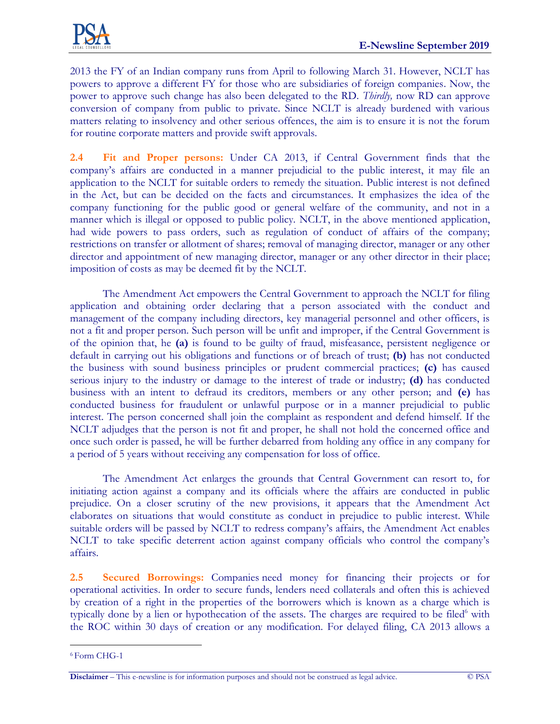2013 the FY of an Indian company runs from April to following March 31. However, NCLT has powers to approve a different FY for those who are subsidiaries of foreign companies. Now, the power to approve such change has also been delegated to the RD. *Thirdly,* now RD can approve conversion of company from public to private. Since NCLT is already burdened with various matters relating to insolvency and other serious offences, the aim is to ensure it is not the forum for routine corporate matters and provide swift approvals.

**2.4 Fit and Proper persons:** Under CA 2013, if Central Government finds that the company's affairs are conducted in a manner prejudicial to the public interest, it may file an application to the NCLT for suitable orders to remedy the situation. Public interest is not defined in the Act, but can be decided on the facts and circumstances. It emphasizes the idea of the company functioning for the public good or general welfare of the community, and not in a manner which is illegal or opposed to public policy. NCLT, in the above mentioned application, had wide powers to pass orders, such as regulation of conduct of affairs of the company; restrictions on transfer or allotment of shares; removal of managing director, manager or any other director and appointment of new managing director, manager or any other director in their place; imposition of costs as may be deemed fit by the NCLT.

The Amendment Act empowers the Central Government to approach the NCLT for filing application and obtaining order declaring that a person associated with the conduct and management of the company including directors, key managerial personnel and other officers, is not a fit and proper person. Such person will be unfit and improper, if the Central Government is of the opinion that, he **(a)** is found to be guilty of fraud, misfeasance, persistent negligence or default in carrying out his obligations and functions or of breach of trust; **(b)** has not conducted the business with sound business principles or prudent commercial practices; **(c)** has caused serious injury to the industry or damage to the interest of trade or industry; **(d)** has conducted business with an intent to defraud its creditors, members or any other person; and **(e)** has conducted business for fraudulent or unlawful purpose or in a manner prejudicial to public interest. The person concerned shall join the complaint as respondent and defend himself. If the NCLT adjudges that the person is not fit and proper, he shall not hold the concerned office and once such order is passed, he will be further debarred from holding any office in any company for a period of 5 years without receiving any compensation for loss of office.

The Amendment Act enlarges the grounds that Central Government can resort to, for initiating action against a company and its officials where the affairs are conducted in public prejudice. On a closer scrutiny of the new provisions, it appears that the Amendment Act elaborates on situations that would constitute as conduct in prejudice to public interest. While suitable orders will be passed by NCLT to redress company's affairs, the Amendment Act enables NCLT to take specific deterrent action against company officials who control the company's affairs.

**2.5 Secured Borrowings:** Companies need money for financing their projects or for operational activities. In order to secure funds, lenders need collaterals and often this is achieved by creation of a right in the properties of the borrowers which is known as a charge which is typically done by a lien or hypothecation of the assets. The charges are required to be filed $<sup>6</sup>$  with</sup> the ROC within 30 days of creation or any modification. For delayed filing, CA 2013 allows a

 $\overline{a}$ <sup>6</sup> Form CHG-1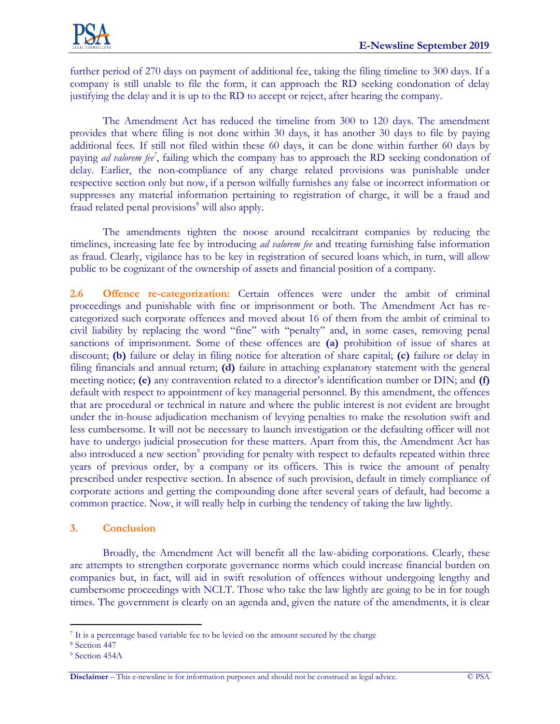further period of 270 days on payment of additional fee, taking the filing timeline to 300 days. If a company is still unable to file the form, it can approach the RD seeking condonation of delay justifying the delay and it is up to the RD to accept or reject, after hearing the company.

The Amendment Act has reduced the timeline from 300 to 120 days. The amendment provides that where filing is not done within 30 days, it has another 30 days to file by paying additional fees. If still not filed within these 60 days, it can be done within further 60 days by paying *ad valorem fee<sup>7</sup>* , failing which the company has to approach the RD seeking condonation of delay. Earlier, the non-compliance of any charge related provisions was punishable under respective section only but now, if a person wilfully furnishes any false or incorrect information or suppresses any material information pertaining to registration of charge, it will be a fraud and fraud related penal provisions<sup>8</sup> will also apply.

The amendments tighten the noose around recalcitrant companies by reducing the timelines, increasing late fee by introducing *ad valorem fee* and treating furnishing false information as fraud. Clearly, vigilance has to be key in registration of secured loans which, in turn, will allow public to be cognizant of the ownership of assets and financial position of a company.

**2.6 Offence re-categorization:** Certain offences were under the ambit of criminal proceedings and punishable with fine or imprisonment or both. The Amendment Act has recategorized such corporate offences and moved about 16 of them from the ambit of criminal to civil liability by replacing the word "fine" with "penalty" and, in some cases, removing penal sanctions of imprisonment. Some of these offences are **(a)** prohibition of issue of shares at discount; **(b)** failure or delay in filing notice for alteration of share capital; **(c)** failure or delay in filing financials and annual return; **(d)** failure in attaching explanatory statement with the general meeting notice; **(e)** any contravention related to a director's identification number or DIN; and **(f)**  default with respect to appointment of key managerial personnel. By this amendment, the offences that are procedural or technical in nature and where the public interest is not evident are brought under the in-house adjudication mechanism of levying penalties to make the resolution swift and less cumbersome. It will not be necessary to launch investigation or the defaulting officer will not have to undergo judicial prosecution for these matters. Apart from this, the Amendment Act has also introduced a new section<sup>9</sup> providing for penalty with respect to defaults repeated within three years of previous order, by a company or its officers. This is twice the amount of penalty prescribed under respective section. In absence of such provision, default in timely compliance of corporate actions and getting the compounding done after several years of default, had become a common practice. Now, it will really help in curbing the tendency of taking the law lightly.

## **3. Conclusion**

Broadly, the Amendment Act will benefit all the law-abiding corporations. Clearly, these are attempts to strengthen corporate governance norms which could increase financial burden on companies but, in fact, will aid in swift resolution of offences without undergoing lengthy and cumbersome proceedings with NCLT. Those who take the law lightly are going to be in for tough times. The government is clearly on an agenda and, given the nature of the amendments, it is clear

 $\overline{a}$ <sup>7</sup> It is a percentage based variable fee to be levied on the amount secured by the charge

<sup>8</sup> Section 447

<sup>9</sup> Section 454A

**Disclaimer** – This e-newsline is for information purposes and should not be construed as legal advice. © PSA